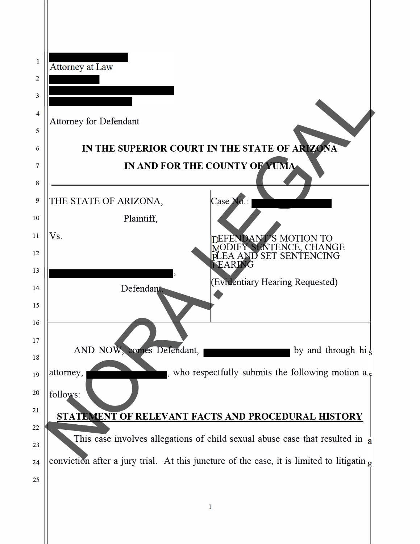| 1              |                                                                                                      |  |
|----------------|------------------------------------------------------------------------------------------------------|--|
| $\overline{2}$ | Attorney at Law                                                                                      |  |
| 3              |                                                                                                      |  |
| $\overline{4}$ |                                                                                                      |  |
| 5              | <b>Attorney for Defendant</b>                                                                        |  |
| 6              | IN THE SUPERIOR COURT IN THE STATE OF ARIZONA                                                        |  |
| 7              | IN AND FOR THE COUNTY OF YUMA                                                                        |  |
| 8              |                                                                                                      |  |
| 9              | Case No.:<br>THE STATE OF ARIZONA,                                                                   |  |
| 10             | Plaintiff,                                                                                           |  |
| 11             | Vs.<br>ANT'S MOTION TO                                                                               |  |
| 12             | <b>IFY SENTENCE, CHANGE</b><br>EA AND SET SENTENCING<br>EARING                                       |  |
| 13             | (Evidentiary Hearing Requested)                                                                      |  |
| 14             | Defendant.                                                                                           |  |
| 15             |                                                                                                      |  |
| 16             |                                                                                                      |  |
| 17             | AND NOW, comes Defendant,<br>by and through hi $\frac{1}{5}$                                         |  |
| 18<br>19       | , who respectfully submits the following motion $a_{\rm s}$<br>attomey,                              |  |
| 20             |                                                                                                      |  |
| 21             | follows:                                                                                             |  |
| 22             | STATEMENT OF RELEVANT FACTS AND PROCEDURAL HISTORY                                                   |  |
| 23             | This case involves allegations of child sexual abuse case that resulted in a                         |  |
| 24             | conviction after a jury trial. At this juncture of the case, it is limited to litigatin $\mathbf{g}$ |  |
| 25             |                                                                                                      |  |
|                |                                                                                                      |  |
|                |                                                                                                      |  |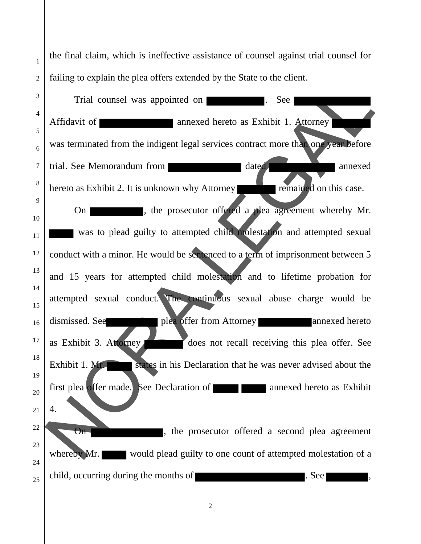the final claim, which is ineffective assistance of counsel against trial counsel for failing to explain the plea offers extended by the State to the client.

1

2

3 4 5 6 7 8 9 10 11 12 13 14 15 16 17 18 19 20 21 22 23 24 25 Trial counsel was appointed on **Exercise**. See Affidavit of **annexed hereto** as Exhibit 1. Attorney was terminated from the indigent legal services contract more than one year before trial. See Memorandum from dated annexed hereto as Exhibit 2. It is unknown why Attorney remained on this case. On state of the prosecutor offered a plea agreement whereby Mr. was to plead guilty to attempted child molestation and attempted sexual conduct with a minor. He would be sentenced to a term of imprisonment between 5 and 15 years for attempted child molestation and to lifetime probation for attempted sexual conduct. The continuous sexual abuse charge would be dismissed. See **plea offer from Attorney** annexed hereto as Exhibit 3. Attorney Exhibit 1. Mr. states in his Declaration that he was never advised about the first plea offer made. See Declaration of **annual contract annual contract in the exhibit** 4. On **On** , the prosecutor offered a second plea agreement whereby Mr. would plead guilty to one count of attempted molestation of a child, occurring during the months of  $\blacksquare$ . See  $\blacksquare$ , Trial counsel was appointed on **a** annexed hereto as Exhibit 1. Attorney<br>
annexed hereto as Exhibit 1. Attorney<br>
was terminated from the indigent legal services contract more that one yesterdore<br>
trad. See Memorandum from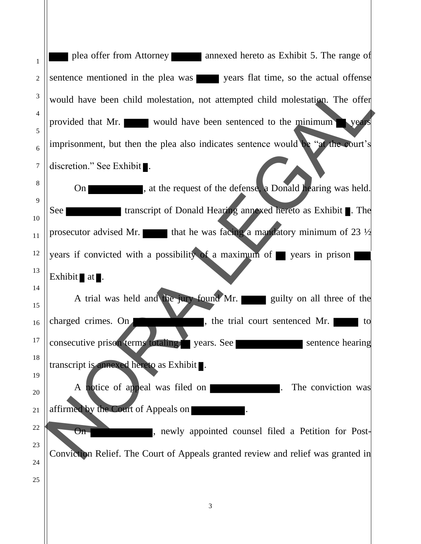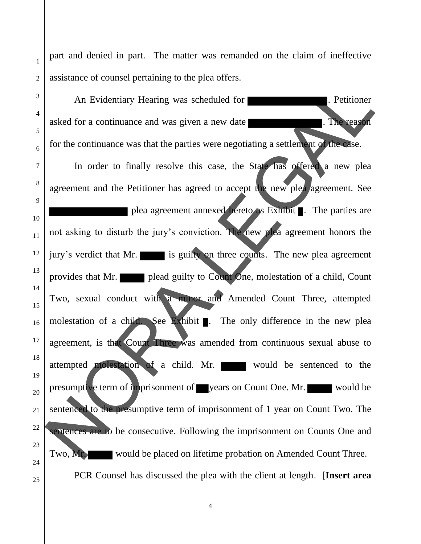part and denied in part. The matter was remanded on the claim of ineffective assistance of counsel pertaining to the plea offers.

1

2

3

4

5

6

7

8

9

10

11

12

13

14

15

16

17

18

19

20

21

22

23

24

25

An Evidentiary Hearing was scheduled for **Example 2014** Petitioner asked for a continuance and was given a new date **the substantial associate**. The reason for the continuance was that the parties were negotiating a settlement of the case. In order to finally resolve this case, the State has offered a new plea agreement and the Petitioner has agreed to accept the new plea agreement. See plea agreement annexed hereto as Exhibit . The parties are not asking to disturb the jury's conviction. The new plea agreement honors the jury's verdict that Mr. is guilty on three counts. The new plea agreement provides that Mr. plead guilty to Count One, molestation of a child, Count Two, sexual conduct with a minor and Amended Count Three, attempted molestation of a child. See Exhibit  $\blacksquare$ . The only difference in the new plea agreement, is that Count Three was amended from continuous sexual abuse to attempted molestation of a child. Mr. would be sentenced to the presumptive term of imprisonment of vears on Count One. Mr. sentenced to the presumptive term of imprisonment of 1 year on Count Two. The sentences are to be consecutive. Following the imprisonment on Counts One and Two, Mr. would be placed on lifetime probation on Amended Count Three. PCR Counsel has discussed the plea with the client at length . [**Insert area**An Evidentiary Hearing was scheduled for<br>asked for a continuance and was given a new date<br>for the continuance was that the parties were negotiating a settlement, the tensor<br>for the continuance was that the parties were neg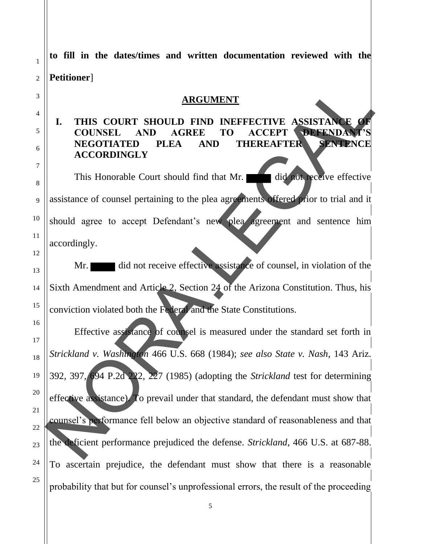1 2 3 4 5 6 7 8 9 10 11 12 13 14 15 16 17 18 19 20 21 22 23 24 25 **to fill in the dates/times and written documentation reviewed with the Petitioner**] **ARGUMENT I. THIS COURT SHOULD FIND INEFFECTIVE ASSISTANCE COUNSEL AND AGREE TO ACCEPT DEFENDAN NEGOTIATED PLEA AND THEREAFTER SENTENCE ACCORDINGLY** This Honorable Court should find that Mr. did not receive effective assistance of counsel pertaining to the plea agreements offered prior to trial and it should agree to accept Defendant's new plea agreement and sentence him accordingly. Mr. did not receive effective assistance of counsel, in violation of the Sixth Amendment and Article 2, Section 24 of the Arizona Constitution. Thus, his conviction violated both the Federal and the State Constitutions. Effective assistance of counsel is measured under the standard set forth in *Strickland v. Washington* 466 U.S. 668 (1984); *see also State v. Nash*, 143 Ariz. 392, 397, 694 P.2d 222, 227 (1985) (adopting the *Strickland* test for determining effective assistance). To prevail under that standard, the defendant must show that counsel's performance fell below an objective standard of reasonableness and that the deficient performance prejudiced the defense. *Strickland*, 466 U.S. at 687-88. To ascertain prejudice, the defendant must show that there is a reasonable probability that but for counsel's unprofessional errors, the result of the proceeding ARCUMENT<br>
1. THIS COURT SHOULD FIND INFFECTIVE ASSISTANCE<br>
COUNSEL AND AGREE TO ACCEPT OPERNDANTS<br>
NEGOTIATED PLEA AND THEREAFTER<br>
ACCORDINGLY<br>
This Honorable Court should find that Mr.<br>
assistance of counsel pertaining to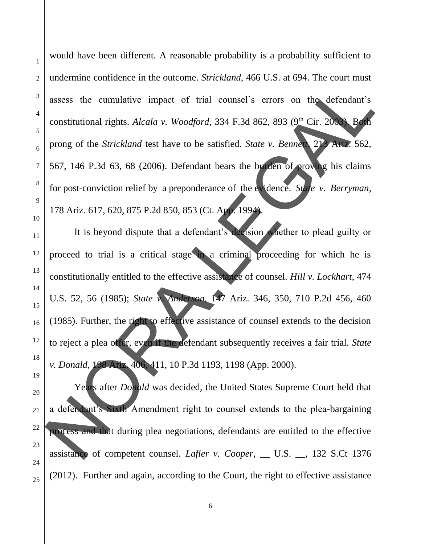would have been different. A reasonable probability is a probability sufficient to undermine confidence in the outcome. *Strickland*, 466 U.S. at 694. The court must assess the cumulative impact of trial counsel's errors on the defendant's constitutional rights. *Alcala v. Woodford*, 334 F.3d 862, 893 (9<sup>th</sup> Cir. 2003). Both prong of the *Strickland* test have to be satisfied. *State v. Bennett*, 213 Ariz. 562, 567, 146 P.3d 63, 68 (2006). Defendant bears the burden of proving his claims for post-conviction relief by a preponderance of the evidence. *State v. Berryman*, 178 Ariz. 617, 620, 875 P.2d 850, 853 (Ct. App. 1994).

It is beyond dispute that a defendant's decision whether to plead guilty or proceed to trial is a critical stage in a criminal proceeding for which he is constitutionally entitled to the effective assistance of counsel. *Hill v. Lockhart*, 474 U.S. 52, 56 (1985); *State v. Anderson*, 147 Ariz. 346, 350, 710 P.2d 456, 460 (1985). Further, the right to effective assistance of counsel extends to the decision to reject a plea offer, even if the defendant subsequently receives a fair trial. *State v. Donald*, 198 Ariz. 406, 411, 10 P.3d 1193, 1198 (App. 2000). Alternative impact of trial counsel's errors on the defendant's<br>
constitutional rights. Alcala v. Woodford, 334 F.3d 862, 893 (9<sup>th</sup> Cir. 2000)<br>
Prong of the *Strickland* test have to be satisfied. *State v. Benna* Propos

Years after *Donald* was decided, the United States Supreme Court held that a defendant's Sixth Amendment right to counsel extends to the plea-bargaining process and that during plea negotiations, defendants are entitled to the effective assistance of competent counsel. *Lafler v. Cooper*, \_\_ U.S. \_\_, 132 S.Ct 1376 (2012). Further and again, according to the Court, the right to effective assistance

1

2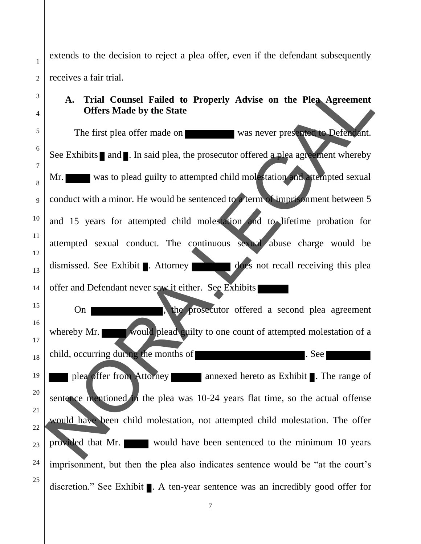extends to the decision to reject a plea offer, even if the defendant subsequently receives a fair trial.

## **A. Trial Counsel Failed to Properly Advise on the Plea Agreement Offers Made by the State**

The first plea offer made on was never presented to Defendant. See Exhibits  $\blacksquare$  and  $\blacksquare$ . In said plea, the prosecutor offered a plea agreement whereby Mr. was to plead guilty to attempted child molestation and attempted sexual conduct with a minor. He would be sentenced to a term of imprisonment between 5 and 15 years for attempted child molestation and to lifetime probation for attempted sexual conduct. The continuous sexual abuse charge would be dismissed. See Exhibit . Attorney does not recall receiving this plea offer and Defendant never saw it either. See Exhibits On **the prosecution** offerred a second plea agreement whereby Mr. would plead guilty to one count of attempted molestation of a child, occurring during the months of **Executive Section** . See plea offer from Attorney annexed hereto as Exhibit . The range of sentence mentioned in the plea was 10-24 years flat time, so the actual offense would have been child molestation, not attempted child molestation. The offer provided that Mr. would have been sentenced to the minimum 10 years imprisonment, but then the plea also indicates sentence would be "at the court's discretion." See Exhibit . A ten-year sentence was an incredibly good offer for A. Trial Counsel Failed to Properly Advise on the Plea Agreement<br>
Offers Made by the State<br>
The first plea offer made on<br>
See Exhibits and I. In said plea, the prosecutor offered a plea age when where by<br>
See Exhibits and

1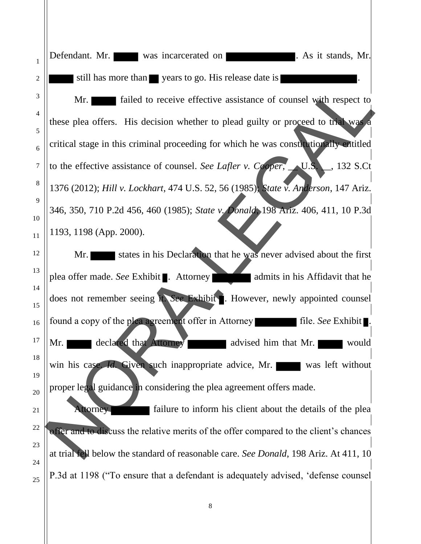1 2 3 4 5 6 7 8 9 10 11 12 13 14 15 16 17 18 19 20 21 22 23 24 25 Defendant. Mr. was incarcerated on **Network** . As it stands, Mr. still has more than vears to go. His release date is Mr. **Figure 1** failed to receive effective assistance of counsel with respect to these plea offers. His decision whether to plead guilty or proceed to trial was a critical stage in this criminal proceeding for which he was constitutionally entitled to the effective assistance of counsel. *See Lafler v. Cooper*, \_\_ U.S. \_\_, 132 S.Ct 1376 (2012); *Hill v. Lockhart*, 474 U.S. 52, 56 (1985); *State v. Anderson*, 147 Ariz. 346, 350, 710 P.2d 456, 460 (1985); *State v. Donald*, 198 Ariz. 406, 411, 10 P.3d 1193, 1198 (App. 2000). Mr. states in his Declaration that he was never advised about the first plea offer made. *See* Exhibit . Attorney **admits in his Affidavit that he** does not remember seeing it. *See* Exhibit . However, newly appointed counsel found a copy of the plea agreement offer in Attorney **file.** *See* Exhibit . Mr. declared that Attorney advised him that Mr. win his case. *Id.* Given such inappropriate advice, Mr. was left without proper legal guidance in considering the plea agreement offers made. Attorney failure to inform his client about the details of the plea offer and to discuss the relative merits of the offer compared to the client's chances at trial fell below the standard of reasonable care. *See Donald*, 198 Ariz. At 411, 10 P.3d at 1198 ("To ensure that a defendant is adequately advised , 'defense counselMr. Said to receive effective assistance of counsel with respect to<br>these plea offers. His decision whether to plead guilty or proceed to the was considered<br>critical stage in this criminal proceeding for which he was consi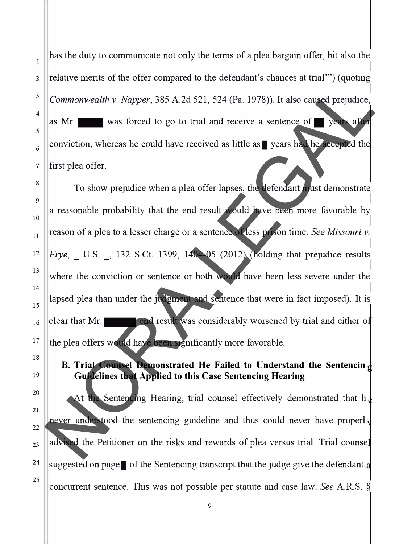has the duty to communicate not only the terms of a plea bargain offer, bit also the  $\vert$ 2 || relative merits of the offer compared to the defendant's chances at trial  $\cdots$ ) (quoting  $\overline{\phantom{a}}$ <sup>3</sup> Commonwealth v. *Napper*, 385 A.2d 521, 524 (Pa. 1978)). It also caused prejudice, as Mr.  $\blacksquare$  was forced to go to trial and receive a sentence of  $\blacksquare$  years after  $\frac{6}{6}$  conviction, whereas he could have received as little as years had he accepted the  $\frac{7}{7}$  ||first plea offer.

 $\mathbb{R}$  To show prejudice when a plea offer lapses, the defendant must demonstrate <sup>9</sup>I a reasonable probability that the end result would have been more favorable by I <sup>10</sup>  $_{11}$  ||reason of a plea to a lesser charge or a sentence of less prison time. *See Missouri v*.  $\mathbf{I}$ <sup>12</sup> *Frye*, U.S. 32 S.Ct. 1399, 1404-05 (2012) (holding that prejudice results  $\frac{13}{13}$  where the conviction or sentence or both would have been less severe under the <sup>14</sup>I lapsed plea than under the judgment and sentence that were in fact imposed). It is  $_{16}$  clear that Mr.  $17$  the plea offers would have been significantly more favorable. Commonwealth v. Napper, 385 A.2d 521, 524 (Pa. 1978)). It also caused prejudice<br>as Mr. was forced to go to trial and receive a sentence of some approaches<br>conviction, whereas he could have received as little as **S** years t

## **B. Trial Counsel Demonstrated He Failed to Understand the Sentencin Guidelines that Applied to this Case Sentencing Hearing**

At the Sentencing Hearing, trial counsel effectively demonstrated that  $h_{\alpha}$ never understood the sentencing guideline and thus could never have properly  $_{23}$  advised the Petitioner on the risks and rewards of plea versus trial. Trial counsel <sup>24</sup>  $\parallel$  suggested on page  $\parallel$  of the Sentencing transcript that the judge give the defendant a concurrent sentence. This was not possible per statute and case law. *See* A.R.S. §

Ï

 $\boldsymbol{\Lambda}$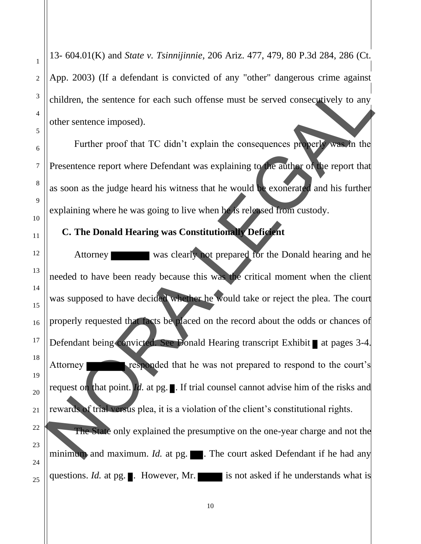1 13- 604.01(K) and *State v. Tsinnijinnie*, 206 Ariz. 477, 479, 80 P.3d 284, 286 (Ct. App. 2003) (If a defendant is convicted of any "other" dangerous crime against children, the sentence for each such offense must be served consecutively to any other sentence imposed). Further proof that TC didn't explain the consequences properly was in the Presentence report where Defendant was explaining to the author of the report that

as soon as the judge heard his witness that he would be exonerated and his further explaining where he was going to live when he is released from custody.

## **C. The Donald Hearing was Constitutionally Deficient**

Attorney was clearly not prepared for the Donald hearing and he needed to have been ready because this was the critical moment when the client was supposed to have decided whether he would take or reject the plea. The court properly requested that facts be placed on the record about the odds or chances of Defendant being convicted. See Donald Hearing transcript Exhibit at pages 3-4. Attorney responded that he was not prepared to respond to the court's request on that point. *Id.* at pg.  $\blacksquare$ . If trial counsel cannot advise him of the risks and rewards of trial versus plea, it is a violation of the client's constitutional rights. The State only explained the presumptive on the one-year charge and not the minimum and maximum. *Id.* at pg.  $\blacksquare$ . The court asked Defendant if he had any Contract the sentence for each such offense must be served consequences of the sentence imposed).<br>
Turther proof that TC didn't explain the consequences property was in the<br>
Presentence report where Defendant was explainin

questions. *Id.* at pg.  $\blacksquare$ . However, Mr. is not asked if he understands what is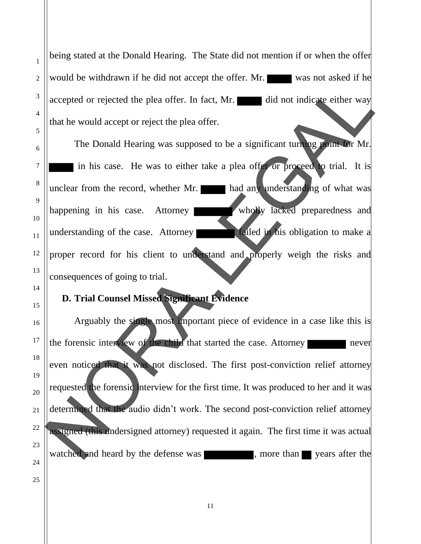25

1

2

being stated at the Donald Hearing. The State did not mention if or when the offer would be withdrawn if he did not accept the offer. Mr. accepted or rejected the plea offer. In fact, Mr. did not indicate either way that he would accept or reject the plea offer.

The Donald Hearing was supposed to be a significant turning point for Mr. in his case. He was to either take a plea offer or proceed to trial. It is unclear from the record, whether Mr. had any understanding of what was happening in his case. Attorney wholly lacked preparedness and understanding of the case. Attorney **failed** in his obligation to make a proper record for his client to understand and properly weigh the risks and consequences of going to trial.

## **D. Trial Counsel Missed Significant Evidence**

Arguably the single most important piece of evidence in a case like this is the forensic interview of the child that started the case. Attorney even noticed that it was not disclosed. The first post-conviction relief attorney requested the forensic interview for the first time. It was produced to her and it was determined that the audio didn't work. The second post-conviction relief attorney assigned (this undersigned attorney) requested it again. The first time it was actual watched and heard by the defense was State of the solution of the season of the season of the season of the season of the season of the season of the season of the season of the season of the season of the season of the season of the season of the season of t , more than years after the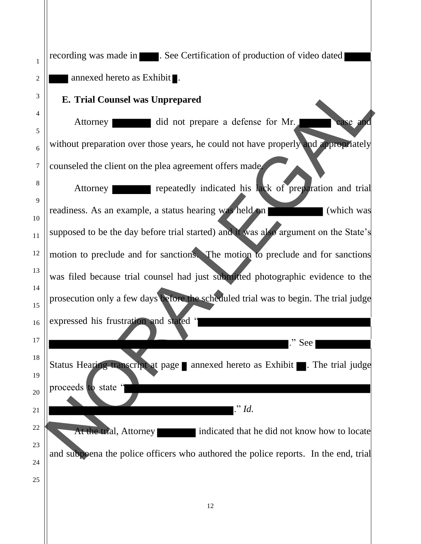| 1        | recording was made in <b>All Properties</b> . See Certification of production of video dated |
|----------|----------------------------------------------------------------------------------------------|
| 2        | annexed hereto as Exhibit $\blacksquare$ .                                                   |
| 3        | <b>E. Trial Counsel was Unprepared</b>                                                       |
| 4        | did not prepare a defense for Mr.<br>Attorney<br>case and                                    |
| 5<br>6   | without preparation over those years, he could not have properly and appropriately           |
| $\tau$   | counseled the client on the plea agreement offers made                                       |
| 8        | repeatedly indicated his lack of preparation and trial<br>Attorney                           |
| 9        | readiness. As an example, a status hearing was held on<br>(which was                         |
| 10<br>11 | supposed to be the day before trial started) and it was also argument on the State's         |
| 12       | motion to preclude and for sanctions. The motion to preclude and for sanctions               |
| 13       | was filed because trial counsel had just submitted photographic evidence to the              |
| 14       | prosecution only a few days before the scheduled trial was to begin. The trial judge         |
| 15<br>16 | expressed his frustration and stated "                                                       |
| 17       | ." See                                                                                       |
| 18<br>19 | Status Hearing transcript at page annexed hereto as Exhibit . The trial judge                |
| 20       | proceeds to state '                                                                          |
| 21       | $\cdot$ " Id.                                                                                |
| 22       | At the trial, Attorney<br>indicated that he did not know how to locate                       |
| 23       | and subpoena the police officers who authored the police reports. In the end, trial          |
| 24<br>25 |                                                                                              |
|          |                                                                                              |
|          | 12                                                                                           |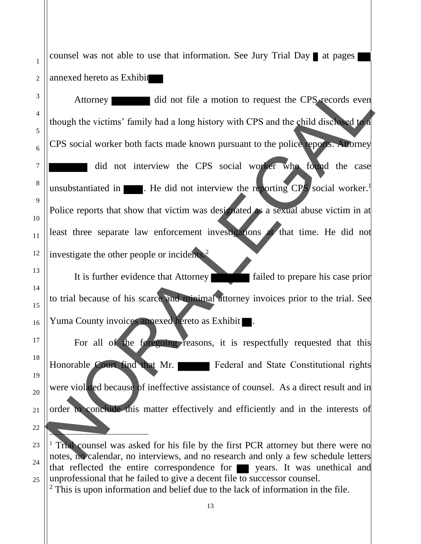counsel was not able to use that information. See Jury Trial Day  $\blacksquare$  at pages annexed hereto as Exhibit

1

2

3

4

5

6

7

8

9

10

11

12

13

14

15

16

17

18

19

20

21

22

Attorney did not file a motion to request the CPS records even though the victims' family had a long history with CPS and the child disclosed to a CPS social worker both facts made known pursuant to the police reports. Attorney did not interview the CPS social worker who found the case unsubstantiated in  $\blacksquare$ . He did not interview the reporting CPS social worker.<sup>1</sup> Police reports that show that victim was designated as a sexual abuse victim in at least three separate law enforcement investigations at that time. He did not investigate the other people or incidents.<sup>2</sup> Attorney did not life a motion to request the CPS records even<br>though the victims' family had a long history with CPS and the child discussed ere.<br>
CPS social worker both facts made known pursuant to the police epoter.<br>
No

It is further evidence that Attorney failed to prepare his case prior to trial because of his scarce and minimal attorney invoices prior to the trial. See Yuma County invoices annexed hereto as Exhibit .

For all of the foregoing reasons, it is respectfully requested that this Honorable Court find that Mr. Federal and State Constitutional rights were violated because of ineffective assistance of counsel. As a direct result and in order to conclude this matter effectively and efficiently and in the interests of

<sup>23</sup> 24 25 <sup>1</sup> Trial counsel was asked for his file by the first PCR attorney but there were no notes, no calendar, no interviews, and no research and only a few schedule letters that reflected the entire correspondence for **y** years. It was unethical and unprofessional that he failed to give a decent file to successor counsel.

 $2$  This is upon information and belief due to the lack of information in the file.